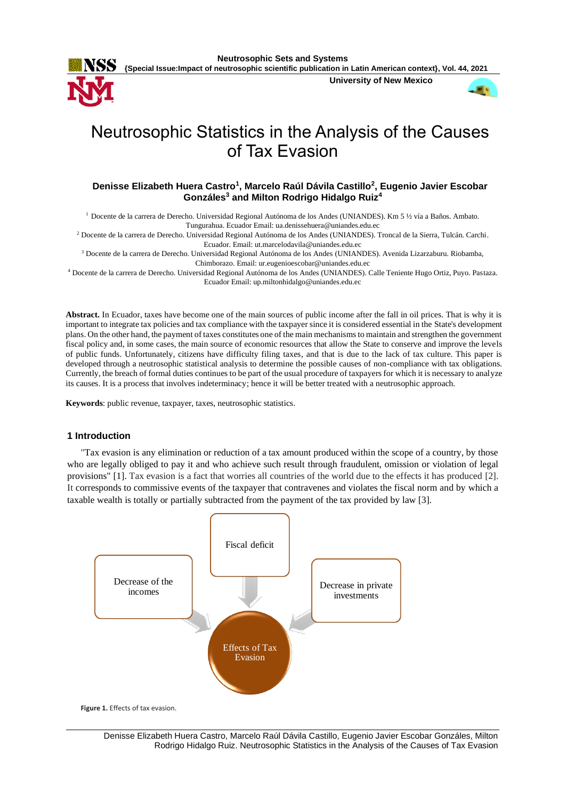

**Neutrosophic Sets and Systems**

**{Special Issue:Impact of neutrosophic scientific publication in Latin American context}, Vol. 44, 2021**

**University of New Mexico**



# Neutrosophic Statistics in the Analysis of the Causes of Tax Evasion

# **Denisse Elizabeth Huera Castro<sup>1</sup> , Marcelo Raúl Dávila Castillo<sup>2</sup> , Eugenio Javier Escobar Gonzáles<sup>3</sup> and Milton Rodrigo Hidalgo Ruiz<sup>4</sup>**

 $1$  Docente de la carrera de Derecho. Universidad Regional Autónoma de los Andes (UNIANDES). Km 5 ½ vía a Baños. Ambato.

Tungurahua. Ecuador Email: ua.denissehuera@uniandes.edu.ec

<sup>2</sup> Docente de la carrera de Derecho. Universidad Regional Autónoma de los Andes (UNIANDES). Troncal de la Sierra, Tulcán. Carchi. Ecuador. Email: ut.marcelodavila@uniandes.edu.ec

<sup>3</sup> Docente de la carrera de Derecho. Universidad Regional Autónoma de los Andes (UNIANDES). Avenida Lizarzaburu. Riobamba, Chimborazo. Email: ur.eugenioescobar@uniandes.edu.ec

<sup>4</sup> Docente de la carrera de Derecho. Universidad Regional Autónoma de los Andes (UNIANDES). Calle Teniente Hugo Ortiz, Puyo. Pastaza. Ecuador Email: up.miltonhidalgo@uniandes.edu.ec

**Abstract.** In Ecuador, taxes have become one of the main sources of public income after the fall in oil prices. That is why it is important to integrate tax policies and tax compliance with the taxpayer since it is considered essential in the State's development plans. On the other hand, the payment of taxes constitutes one of the main mechanisms to maintain and strengthen the government fiscal policy and, in some cases, the main source of economic resources that allow the State to conserve and improve the levels of public funds. Unfortunately, citizens have difficulty filing taxes, and that is due to the lack of tax culture. This paper is developed through a neutrosophic statistical analysis to determine the possible causes of non-compliance with tax obligations. Currently, the breach of formal duties continues to be part of the usual procedure of taxpayers for which it is necessary to analyze its causes. It is a process that involves indeterminacy; hence it will be better treated with a neutrosophic approach.

**Keywords**: public revenue, taxpayer, taxes, neutrosophic statistics.

# **1 Introduction**

"Tax evasion is any elimination or reduction of a tax amount produced within the scope of a country, by those who are legally obliged to pay it and who achieve such result through fraudulent, omission or violation of legal provisions" [\[1\]](#page-7-0). Tax evasion is a fact that worries all countries of the world due to the effects it has produced [\[2\]](#page-7-1). It corresponds to commissive events of the taxpayer that contravenes and violates the fiscal norm and by which a taxable wealth is totally or partially subtracted from the payment of the tax provided by law [\[3\]](#page-7-2).

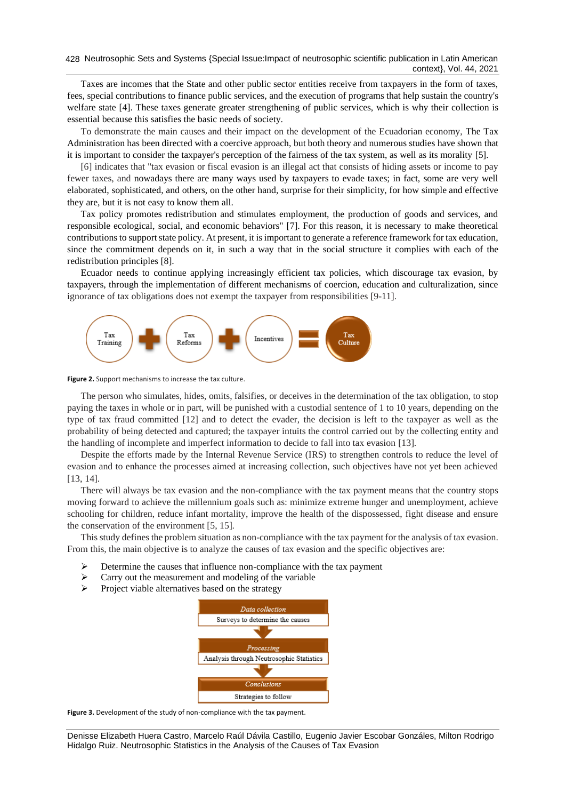Taxes are incomes that the State and other public sector entities receive from taxpayers in the form of taxes, fees, special contributions to finance public services, and the execution of programs that help sustain the country's welfare state [\[4\]](#page-7-3). These taxes generate greater strengthening of public services, which is why their collection is essential because this satisfies the basic needs of society.

To demonstrate the main causes and their impact on the development of the Ecuadorian economy, The Tax Administration has been directed with a coercive approach, but both theory and numerous studies have shown that it is important to consider the taxpayer's perception of the fairness of the tax system, as well as its morality [\[5\]](#page-7-4).

[\[6\]](#page-7-5) indicates that "tax evasion or fiscal evasion is an illegal act that consists of hiding assets or income to pay fewer taxes, and nowadays there are many ways used by taxpayers to evade taxes; in fact, some are very well elaborated, sophisticated, and others, on the other hand, surprise for their simplicity, for how simple and effective they are, but it is not easy to know them all.

Tax policy promotes redistribution and stimulates employment, the production of goods and services, and responsible ecological, social, and economic behaviors" [\[7\]](#page-7-6). For this reason, it is necessary to make theoretical contributions to support state policy. At present, it is important to generate a reference framework for tax education, since the commitment depends on it, in such a way that in the social structure it complies with each of the redistribution principles [\[8\]](#page-7-7).

Ecuador needs to continue applying increasingly efficient tax policies, which discourage tax evasion, by taxpayers, through the implementation of different mechanisms of coercion, education and culturalization, since ignorance of tax obligations does not exempt the taxpayer from responsibilities [\[9-11\]](#page-7-8).



**Figure 2.** Support mechanisms to increase the tax culture.

The person who simulates, hides, omits, falsifies, or deceives in the determination of the tax obligation, to stop paying the taxes in whole or in part, will be punished with a custodial sentence of 1 to 10 years, depending on the type of tax fraud committed [\[12\]](#page-7-9) and to detect the evader, the decision is left to the taxpayer as well as the probability of being detected and captured; the taxpayer intuits the control carried out by the collecting entity and the handling of incomplete and imperfect information to decide to fall into tax evasion [\[13\]](#page-7-10).

Despite the efforts made by the Internal Revenue Service (IRS) to strengthen controls to reduce the level of evasion and to enhance the processes aimed at increasing collection, such objectives have not yet been achieved [\[13,](#page-7-10) [14\]](#page-7-11).

There will always be tax evasion and the non-compliance with the tax payment means that the country stops moving forward to achieve the millennium goals such as: minimize extreme hunger and unemployment, achieve schooling for children, reduce infant mortality, improve the health of the dispossessed, fight disease and ensure the conservation of the environment [\[5,](#page-7-4) [15\]](#page-7-12).

This study defines the problem situation as non-compliance with the tax payment for the analysis of tax evasion. From this, the main objective is to analyze the causes of tax evasion and the specific objectives are:

- ➢ Determine the causes that influence non-compliance with the tax payment
- ➢ Carry out the measurement and modeling of the variable
- ➢ Project viable alternatives based on the strategy



**Figure 3.** Development of the study of non-compliance with the tax payment.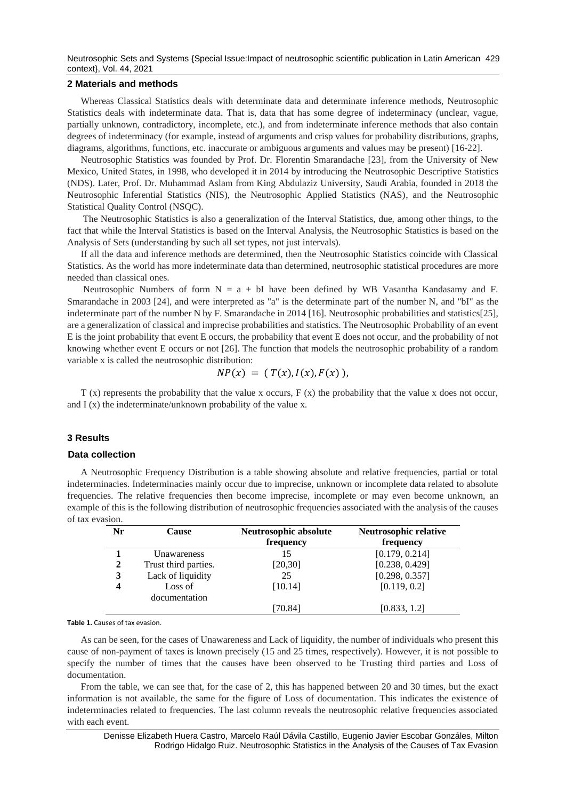Neutrosophic Sets and Systems {Special Issue:Impact of neutrosophic scientific publication in Latin American 429 context}, Vol. 44, 2021

#### **2 Materials and methods**

Whereas Classical Statistics deals with determinate data and determinate inference methods, Neutrosophic Statistics deals with indeterminate data. That is, data that has some degree of indeterminacy (unclear, vague, partially unknown, contradictory, incomplete, etc.), and from indeterminate inference methods that also contain degrees of indeterminacy (for example, instead of arguments and crisp values for probability distributions, graphs, diagrams, algorithms, functions, etc. inaccurate or ambiguous arguments and values may be present) [\[16-22\]](#page-7-13).

Neutrosophic Statistics was founded by Prof. Dr. Florentin Smarandache [\[23\]](#page-8-0), from the University of New Mexico, United States, in 1998, who developed it in 2014 by introducing the Neutrosophic Descriptive Statistics (NDS). Later, Prof. Dr. Muhammad Aslam from King Abdulaziz University, Saudi Arabia, founded in 2018 the Neutrosophic Inferential Statistics (NIS), the Neutrosophic Applied Statistics (NAS), and the Neutrosophic Statistical Quality Control (NSQC).

The Neutrosophic Statistics is also a generalization of the Interval Statistics, due, among other things, to the fact that while the Interval Statistics is based on the Interval Analysis, the Neutrosophic Statistics is based on the Analysis of Sets (understanding by such all set types, not just intervals).

If all the data and inference methods are determined, then the Neutrosophic Statistics coincide with Classical Statistics. As the world has more indeterminate data than determined, neutrosophic statistical procedures are more needed than classical ones.

Neutrosophic Numbers of form  $N = a + bI$  have been defined by WB Vasantha Kandasamy and F. Smarandache in 2003 [\[24\]](#page-8-1), and were interpreted as "a" is the determinate part of the number N, and "bI" as the indeterminate part of the number N by F. Smarandache in 2014 [\[16\]](#page-7-13). Neutrosophic probabilities and statistics[\[25\]](#page-8-2), are a generalization of classical and imprecise probabilities and statistics. The Neutrosophic Probability of an event E is the joint probability that event E occurs, the probability that event E does not occur, and the probability of not knowing whether event E occurs or not [\[26\]](#page-8-3). The function that models the neutrosophic probability of a random variable x is called the neutrosophic distribution:

$$
NP(x) = (T(x), I(x), F(x)),
$$

T (x) represents the probability that the value x occurs, F (x) the probability that the value x does not occur, and  $I(x)$  the indeterminate/unknown probability of the value x.

### **3 Results**

## **Data collection**

A Neutrosophic Frequency Distribution is a table showing absolute and relative frequencies, partial or total indeterminacies. Indeterminacies mainly occur due to imprecise, unknown or incomplete data related to absolute frequencies. The relative frequencies then become imprecise, incomplete or may even become unknown, an example of this is the following distribution of neutrosophic frequencies associated with the analysis of the causes of tax evasion.

| Nr           | <b>Cause</b>             | Neutrosophic absolute | <b>Neutrosophic relative</b> |
|--------------|--------------------------|-----------------------|------------------------------|
|              |                          | frequency             | frequency                    |
|              | Unawareness              | 15                    | [0.179, 0.214]               |
| $\mathbf{2}$ | Trust third parties.     | [20, 30]              | [0.238, 0.429]               |
| 3            | Lack of liquidity        | 25                    | [0.298, 0.357]               |
| 4            | Loss of<br>documentation | [10.14]               | [0.119, 0.2]                 |
|              |                          | [70.84]               | [0.833, 1.2]                 |

#### **Table 1.** Causes of tax evasion.

As can be seen, for the cases of Unawareness and Lack of liquidity, the number of individuals who present this cause of non-payment of taxes is known precisely (15 and 25 times, respectively). However, it is not possible to specify the number of times that the causes have been observed to be Trusting third parties and Loss of documentation.

From the table, we can see that, for the case of 2, this has happened between 20 and 30 times, but the exact information is not available, the same for the figure of Loss of documentation. This indicates the existence of indeterminacies related to frequencies. The last column reveals the neutrosophic relative frequencies associated with each event.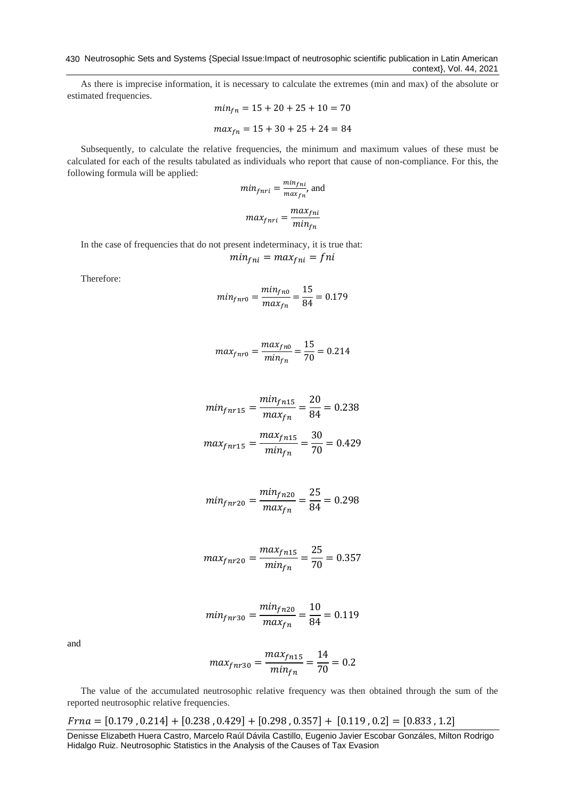As there is imprecise information, it is necessary to calculate the extremes (min and max) of the absolute or estimated frequencies.

$$
min_{fn} = 15 + 20 + 25 + 10 = 70
$$

$$
max_{fn} = 15 + 30 + 25 + 24 = 84
$$

Subsequently, to calculate the relative frequencies, the minimum and maximum values of these must be calculated for each of the results tabulated as individuals who report that cause of non-compliance. For this, the following formula will be applied:

$$
min_{f n r i} = \frac{min_{f n i}}{max_{f n}},
$$
 and

$$
max_{f n r i} = \frac{max_{f n i}}{min_{f n}}
$$

In the case of frequencies that do not present indeterminacy, it is true that:

$$
min_{fni} = max_{fni} = fni
$$

Therefore:

$$
min_{fnr0} = \frac{min_{fn0}}{max_{fn}} = \frac{15}{84} = 0.179
$$

$$
max_{fnr0} = \frac{max_{fn0}}{min_{fn}} = \frac{15}{70} = 0.214
$$

$$
min_{fnr15} = \frac{min_{fnr15}}{max_{fnr}} = \frac{20}{84} = 0.238
$$

$$
max_{fnr15} = \frac{max_{fnr15}}{min_{fnr}} = \frac{30}{70} = 0.429
$$

$$
min_{fnr20} = \frac{min_{fn20}}{max_{fn}} = \frac{25}{84} = 0.298
$$

$$
max_{fnr20} = \frac{max_{fnr15}}{min_{fnr}} = \frac{25}{70} = 0.357
$$

$$
min_{fnr30} = \frac{min_{fn20}}{max_{fn}} = \frac{10}{84} = 0.119
$$

and

$$
max_{fnr30} = \frac{max_{fnr15}}{min_{fnr}} = \frac{14}{70} = 0.2
$$

The value of the accumulated neutrosophic relative frequency was then obtained through the sum of the reported neutrosophic relative frequencies.

 $Frna = [0.179, 0.214] + [0.238, 0.429] + [0.298, 0.357] + [0.119, 0.2] = [0.833, 1.2]$ 

Denisse Elizabeth Huera Castro, Marcelo Raúl Dávila Castillo, Eugenio Javier Escobar Gonzáles, Milton Rodrigo Hidalgo Ruiz. Neutrosophic Statistics in the Analysis of the Causes of Tax Evasion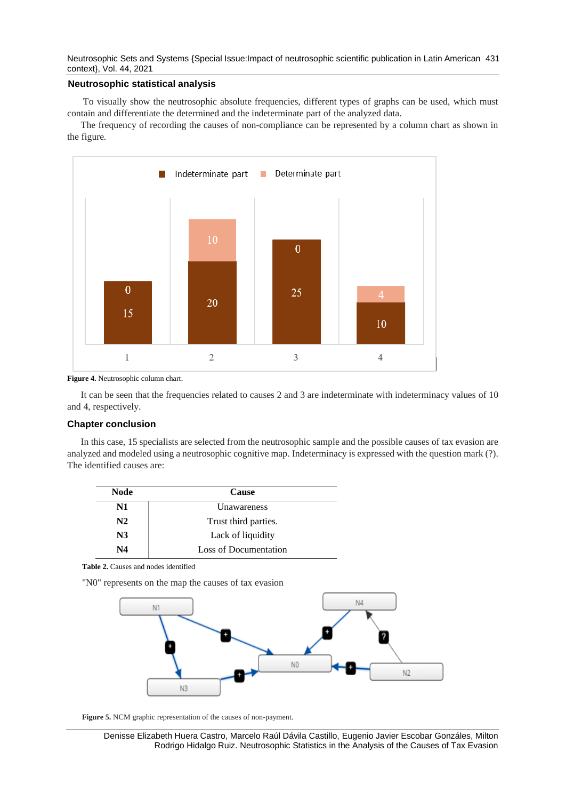Neutrosophic Sets and Systems {Special Issue:Impact of neutrosophic scientific publication in Latin American 431 context}, Vol. 44, 2021

## **Neutrosophic statistical analysis**

To visually show the neutrosophic absolute frequencies, different types of graphs can be used, which must contain and differentiate the determined and the indeterminate part of the analyzed data.

The frequency of recording the causes of non-compliance can be represented by a column chart as shown in the figure.



**Figure 4.** Neutrosophic column chart.

It can be seen that the frequencies related to causes 2 and 3 are indeterminate with indeterminacy values of 10 and 4, respectively.

## **Chapter conclusion**

In this case, 15 specialists are selected from the neutrosophic sample and the possible causes of tax evasion are analyzed and modeled using a neutrosophic cognitive map. Indeterminacy is expressed with the question mark (?). The identified causes are:

| <b>Node</b>    | <b>Cause</b>          |
|----------------|-----------------------|
| N1             | Unawareness           |
| N2             | Trust third parties.  |
| N <sub>3</sub> | Lack of liquidity     |
| N4             | Loss of Documentation |

**Table 2.** Causes and nodes identified

"N0" represents on the map the causes of tax evasion



**Figure 5.** NCM graphic representation of the causes of non-payment.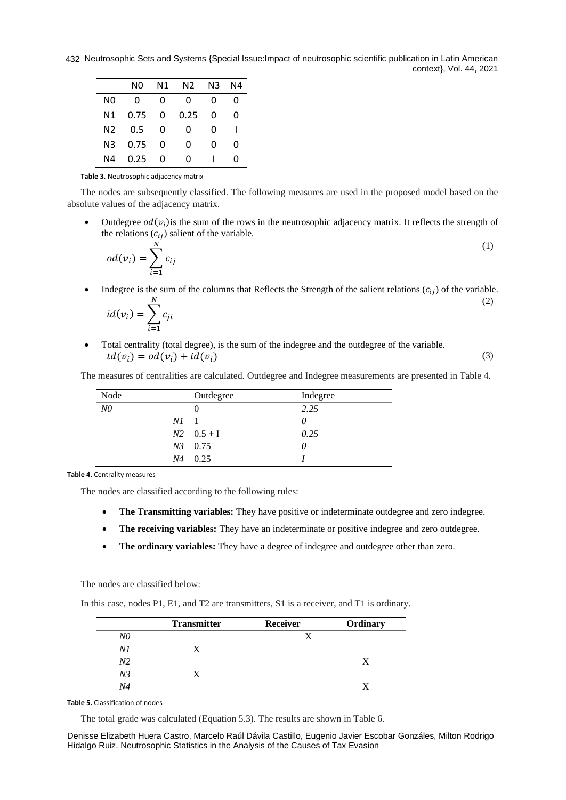|    | NΟ   | N <sub>1</sub> | N2   | N3 | N4 |
|----|------|----------------|------|----|----|
| N0 | O    | ŋ              | 0    | O  | O  |
| Ν1 | 0.75 | 0              | 0.25 | 0  | O  |
| N2 | 0.5  | 0              | Ω    | 0  |    |
| N3 | 0.75 | O              | 0    | ი  | O  |
| Ν4 | 0.25 | O              | O    |    | O  |

**Table 3.** Neutrosophic adjacency matrix

The nodes are subsequently classified. The following measures are used in the proposed model based on the absolute values of the adjacency matrix.

• Outdegree  $od(v_i)$  is the sum of the rows in the neutrosophic adjacency matrix. It reflects the strength of the relations  $(c_{ii})$  salient of the variable.

$$
od(v_i) = \sum_{i=1}^{N} c_{ij}
$$
 (1)

• Indegree is the sum of the columns that Reflects the Strength of the salient relations  $(c_{ii})$  of the variable.  $\boldsymbol{N}$ (2)

$$
id(v_i) = \sum_{i=1} c_{ji}
$$

• Total centrality (total degree), is the sum of the indegree and the outdegree of the variable.  $td(v_i) = od(v_i) + id(v_i)$  (3)

The measures of centralities are calculated. Outdegree and Indegree measurements are presented in Table 4.

| Node           |                | Outdegree | Indegree |
|----------------|----------------|-----------|----------|
| N <sub>0</sub> |                | 0         | 2.25     |
|                | Νl             |           | $\theta$ |
|                | N <sub>2</sub> | $0.5 + I$ | 0.25     |
|                | N <sub>3</sub> | 0.75      | 0        |
|                | N4             | 0.25      |          |

**Table 4.** Centrality measures

The nodes are classified according to the following rules:

- **The Transmitting variables:** They have positive or indeterminate outdegree and zero indegree.
- The receiving variables: They have an indeterminate or positive indegree and zero outdegree.
- **The ordinary variables:** They have a degree of indegree and outdegree other than zero.

The nodes are classified below:

In this case, nodes P1, E1, and T2 are transmitters, S1 is a receiver, and T1 is ordinary.

|                | <b>Transmitter</b> | Receiver | Ordinary |
|----------------|--------------------|----------|----------|
| $N\!0$         |                    |          |          |
| Νl             | X                  |          |          |
| N <sub>2</sub> |                    |          |          |
| N <sub>3</sub> | X                  |          |          |
| N4             |                    |          |          |

**Table 5.** Classification of nodes

The total grade was calculated (Equation 5.3). The results are shown in Table 6.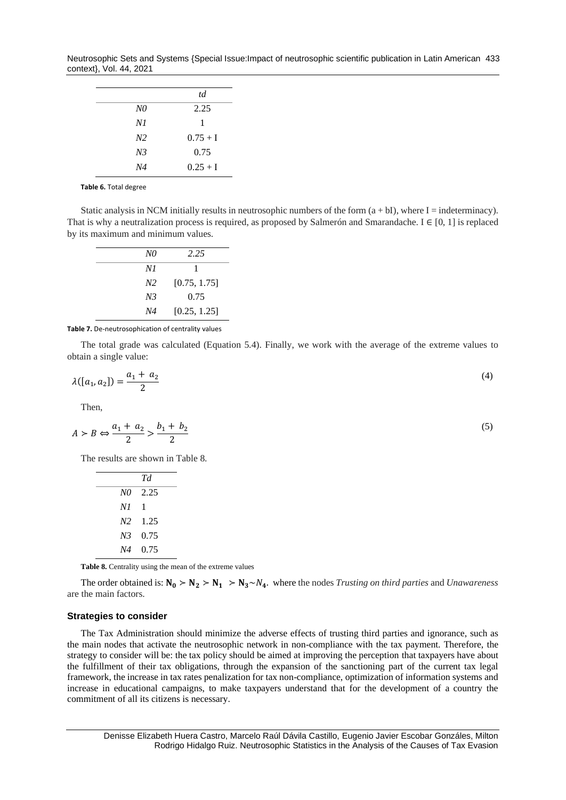Neutrosophic Sets and Systems {Special Issue:Impact of neutrosophic scientific publication in Latin American 433 context}, Vol. 44, 2021

|                | td         |
|----------------|------------|
| N0             | 2.25       |
| N1             | 1          |
| N <sub>2</sub> | $0.75 + I$ |
| N <sub>3</sub> | 0.75       |
| N4             | $0.25 + I$ |

**Table 6.** Total degree

Static analysis in NCM initially results in neutrosophic numbers of the form  $(a + bI)$ , where I = indeterminacy). That is why a neutralization process is required, as proposed by Salmerón and Smarandache. I ∈ [0, 1] is replaced by its maximum and minimum values.

| N0             | 2.25         |
|----------------|--------------|
| N1             |              |
| N <sub>2</sub> | [0.75, 1.75] |
| N <sub>3</sub> | 0.75         |
| N4             | [0.25, 1.25] |

**Table 7.** De-neutrosophication of centrality values

The total grade was calculated (Equation 5.4). Finally, we work with the average of the extreme values to obtain a single value:

$$
\lambda([a_1, a_2]) = \frac{a_1 + a_2}{2} \tag{4}
$$

Then,

$$
A \succ B \Leftrightarrow \frac{a_1 + a_2}{2} > \frac{b_1 + b_2}{2} \tag{5}
$$

The results are shown in Table 8.

|                | Тd              |
|----------------|-----------------|
| N0             | 2.25            |
| N1             | 1               |
|                | $N2 \quad 1.25$ |
| N <sub>3</sub> | 0.75            |
| N4             | 0.75            |

**Table 8.** Centrality using the mean of the extreme values

The order obtained is:  $N_0 > N_2 > N_1 > N_3 \sim N_4$ . where the nodes *Trusting on third parties* and *Unawareness* are the main factors.

#### **Strategies to consider**

The Tax Administration should minimize the adverse effects of trusting third parties and ignorance, such as the main nodes that activate the neutrosophic network in non-compliance with the tax payment. Therefore, the strategy to consider will be: the tax policy should be aimed at improving the perception that taxpayers have about the fulfillment of their tax obligations, through the expansion of the sanctioning part of the current tax legal framework, the increase in tax rates penalization for tax non-compliance, optimization of information systems and increase in educational campaigns, to make taxpayers understand that for the development of a country the commitment of all its citizens is necessary.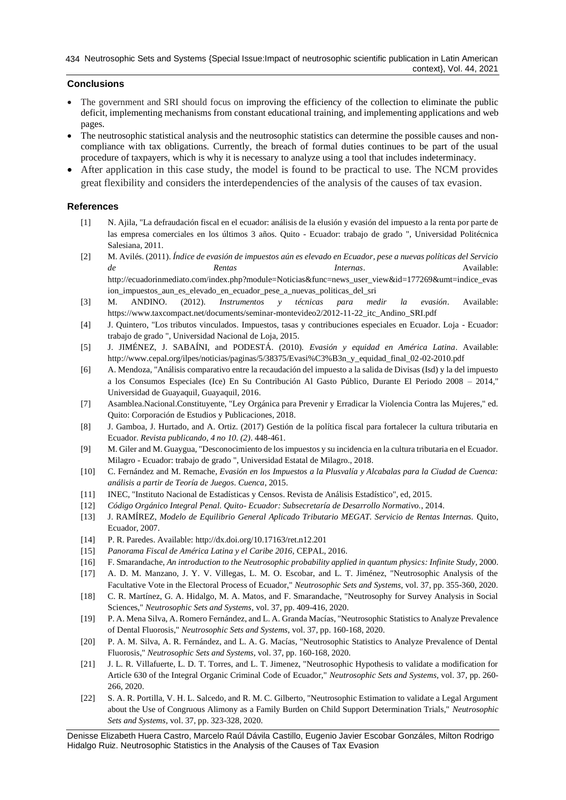# **Conclusions**

- The government and SRI should focus on improving the efficiency of the collection to eliminate the public deficit, implementing mechanisms from constant educational training, and implementing applications and web pages.
- The neutrosophic statistical analysis and the neutrosophic statistics can determine the possible causes and noncompliance with tax obligations. Currently, the breach of formal duties continues to be part of the usual procedure of taxpayers, which is why it is necessary to analyze using a tool that includes indeterminacy.
- After application in this case study, the model is found to be practical to use. The NCM provides great flexibility and considers the interdependencies of the analysis of the causes of tax evasion.

## **References**

- <span id="page-7-0"></span>[1] N. Ajila, "La defraudación fiscal en el ecuador: análisis de la elusión y evasión del impuesto a la renta por parte de las empresa comerciales en los últimos 3 años. Quito - Ecuador: trabajo de grado ", Universidad Politécnica Salesiana, 2011.
- <span id="page-7-1"></span>[2] M. Avilés. (2011). *Índice de evasión de impuestos aún es elevado en Ecuador, pese a nuevas políticas del Servicio de Rentas Internas*. Available: [http://ecuadorinmediato.com/index.php?module=Noticias&func=news\\_user\\_view&id=177269&umt=indice\\_evas](http://ecuadorinmediato.com/index.php?module=Noticias&func=news_user_view&id=177269&umt=indice_evasion_impuestos_aun_es_elevado_en_ecuador_pese_a_nuevas_politicas_del_sri) [ion\\_impuestos\\_aun\\_es\\_elevado\\_en\\_ecuador\\_pese\\_a\\_nuevas\\_politicas\\_del\\_sri](http://ecuadorinmediato.com/index.php?module=Noticias&func=news_user_view&id=177269&umt=indice_evasion_impuestos_aun_es_elevado_en_ecuador_pese_a_nuevas_politicas_del_sri)
- <span id="page-7-2"></span>[3] M. ANDINO. (2012). *Instrumentos y técnicas para medir la evasión*. Available: https:[//www.taxcompact.net/documents/seminar-montevideo2/2012-11-22\\_itc\\_Andino\\_SRI.pdf](http://www.taxcompact.net/documents/seminar-montevideo2/2012-11-22_itc_Andino_SRI.pdf)
- <span id="page-7-3"></span>[4] J. Quintero, "Los tributos vinculados. Impuestos, tasas y contribuciones especiales en Ecuador. Loja - Ecuador: trabajo de grado ", Universidad Nacional de Loja, 2015.
- <span id="page-7-4"></span>[5] J. JIMÉNEZ, J. SABAÍNI, and PODESTÁ. (2010). *Evasión y equidad en América Latina*. Available: [http://www.cepal.org/ilpes/noticias/paginas/5/38375/Evasi%C3%B3n\\_y\\_equidad\\_final\\_02-02-2010.pdf](http://www.cepal.org/ilpes/noticias/paginas/5/38375/Evasi%C3%B3n_y_equidad_final_02-02-2010.pdf)
- <span id="page-7-5"></span>[6] A. Mendoza, "Análisis comparativo entre la recaudación del impuesto a la salida de Divisas (Isd) y la del impuesto a los Consumos Especiales (Ice) En Su Contribución Al Gasto Público, Durante El Periodo 2008 – 2014," Universidad de Guayaquil, Guayaquil, 2016.
- <span id="page-7-6"></span>[7] Asamblea.Nacional.Constituyente, "Ley Orgánica para Prevenir y Erradicar la Violencia Contra las Mujeres," ed. Quito: Corporación de Estudios y Publicaciones, 2018.
- <span id="page-7-7"></span>[8] J. Gamboa, J. Hurtado, and A. Ortiz. (2017) Gestión de la política fiscal para fortalecer la cultura tributaria en Ecuador. *Revista publicando, 4 no 10. (2)*. 448-461.
- <span id="page-7-8"></span>[9] M. Giler and M. Guaygua, "Desconocimiento de los impuestos y su incidencia en la cultura tributaria en el Ecuador. Milagro - Ecuador: trabajo de grado ", Universidad Estatal de Milagro., 2018.
- [10] C. Fernández and M. Remache, *Evasión en los Impuestos a la Plusvalía y Alcabalas para la Ciudad de Cuenca: análisis a partir de Teoría de Juegos. Cuenca*, 2015.
- [11] INEC, "Instituto Nacional de Estadísticas y Censos. Revista de Análisis Estadístico", ed, 2015.
- <span id="page-7-9"></span>[12] *Código Orgánico Integral Penal. Quito- Ecuador: Subsecretaría de Desarrollo Normativo.*, 2014.
- <span id="page-7-10"></span>[13] J. RAMÍREZ, *Modelo de Equilibrio General Aplicado Tributario MEGAT. Servicio de Rentas Internas.* Quito, Ecuador, 2007.
- <span id="page-7-11"></span>[14] P. R. Paredes. Available[: http://dx.doi.org/10.17163/ret.n12.201](http://dx.doi.org/10.17163/ret.n12.201)
- <span id="page-7-12"></span>[15] *Panorama Fiscal de América Latina y el Caribe 2016,* CEPAL, 2016.
- <span id="page-7-13"></span>[16] F. Smarandache, *An introduction to the Neutrosophic probability applied in quantum physics: Infinite Study*, 2000.
- [17] A. D. M. Manzano, J. Y. V. Villegas, L. M. O. Escobar, and L. T. Jiménez, "Neutrosophic Analysis of the Facultative Vote in the Electoral Process of Ecuador," *Neutrosophic Sets and Systems,* vol. 37, pp. 355-360, 2020.
- [18] C. R. Martínez, G. A. Hidalgo, M. A. Matos, and F. Smarandache, "Neutrosophy for Survey Analysis in Social Sciences," *Neutrosophic Sets and Systems,* vol. 37, pp. 409-416, 2020.
- [19] P. A. Mena Silva, A. Romero Fernández, and L. A. Granda Macías, "Neutrosophic Statistics to Analyze Prevalence of Dental Fluorosis," *Neutrosophic Sets and Systems,* vol. 37, pp. 160-168, 2020.
- [20] P. A. M. Silva, A. R. Fernández, and L. A. G. Macías, "Neutrosophic Statistics to Analyze Prevalence of Dental Fluorosis," *Neutrosophic Sets and Systems,* vol. 37, pp. 160-168, 2020.
- [21] J. L. R. Villafuerte, L. D. T. Torres, and L. T. Jimenez, "Neutrosophic Hypothesis to validate a modification for Article 630 of the Integral Organic Criminal Code of Ecuador," *Neutrosophic Sets and Systems,* vol. 37, pp. 260- 266, 2020.
- [22] S. A. R. Portilla, V. H. L. Salcedo, and R. M. C. Gilberto, "Neutrosophic Estimation to validate a Legal Argument about the Use of Congruous Alimony as a Family Burden on Child Support Determination Trials," *Neutrosophic Sets and Systems,* vol. 37, pp. 323-328, 2020.

Denisse Elizabeth Huera Castro, Marcelo Raúl Dávila Castillo, Eugenio Javier Escobar Gonzáles, Milton Rodrigo Hidalgo Ruiz. Neutrosophic Statistics in the Analysis of the Causes of Tax Evasion